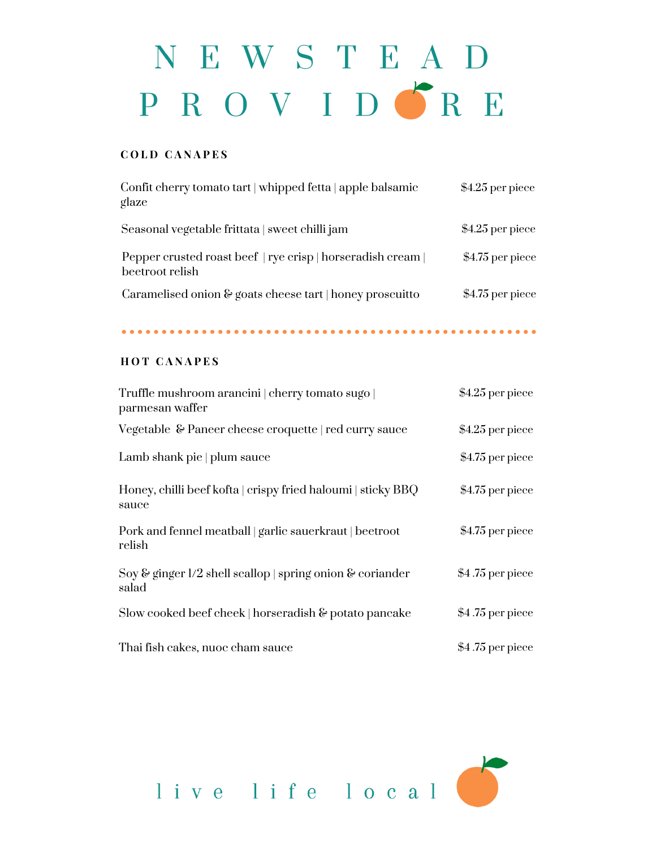# NEWSTEAD PROVIDGRE

## **C O L D C A N A P E S**

| Confit cherry tomato tart   whipped fetta   apple balsamic<br>glaze            | $$4.25$ per piece |
|--------------------------------------------------------------------------------|-------------------|
| Seasonal vegetable frittata   sweet chilli jam                                 | $$4.25$ per piece |
| Pepper crusted roast beef   rye crisp   horseradish cream  <br>beetroot relish | $$4.75$ per piece |
| Caramelised onion $\&$ goats cheese tart   honey proscuitto                    | $$4.75$ per piece |

### **H O T C A N A P E S**

| Truffle mushroom arancini   cherry tomato sugo  <br>parmesan waffer   | $$4.25$ per piece |
|-----------------------------------------------------------------------|-------------------|
| Vegetable & Paneer cheese croquette   red curry sauce                 | $$4.25$ per piece |
| Lamb shank pie   plum sauce                                           | \$4.75 per piece  |
| Honey, chilli beef kofta   crispy fried haloumi   sticky BBQ<br>sauce | \$4.75 per piece  |
| Pork and fennel meatball   garlic sauerkraut   beetroot<br>relish     | $$4.75$ per piece |
| Soy & ginger $1/2$ shell scallop   spring onion & coriander<br>salad  | $$4.75$ per piece |
| Slow cooked beef cheek   horseradish $\&$ potato pancake              | $$4.75$ per piece |
| Thai fish cakes, nuoc cham sauce                                      | $$4.75$ per piece |